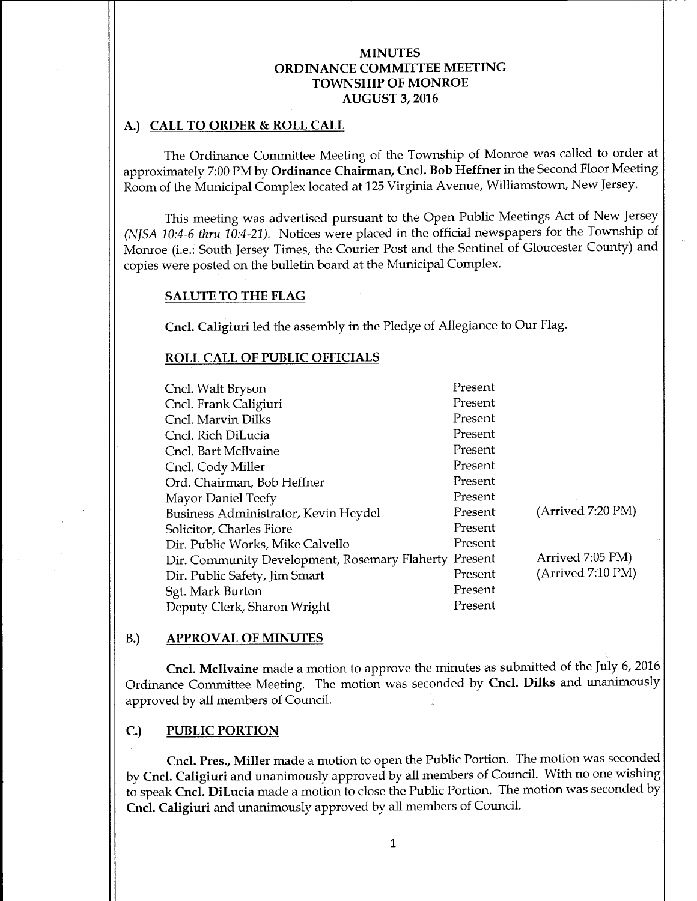# A.) CALL TO ORDER & ROLL CALL

The Ordinance Committee Meeting of the Township of Monroe was called to order at approximately 7:00 PM by Ordinance Chairman, Cncl. Bob Heffner in the Second Floor Meeting Room of the Municipal Complex located at 125 Virginia Avenue, Williamstown, New Jersey.

This meeting was advertised pursuant to the Open Public Meetings Act of New Jersey (NJSA 10:4-6 thru 10:4-21). Notices were placed in the official newspapers for the Township of Monroe (i.e.: South Jersey Times, the Courier Post and the Sentinel of Gloucester County) and copies were posted on the bulletin board at the Municipal Complex.

#### SALUTE TO THE FLAG

Cncl. Caligiuri led the assembly in the Pledge of Allegiance to Our Flag.

## ROLL CALL OF PUBLIC OFFICIALS

| Cncl. Walt Bryson                                     | Present |                   |
|-------------------------------------------------------|---------|-------------------|
| Cncl. Frank Caligiuri                                 | Present |                   |
| Cncl. Marvin Dilks                                    | Present |                   |
| Cncl. Rich DiLucia                                    | Present |                   |
| Cncl. Bart McIlvaine                                  | Present |                   |
| Cncl. Cody Miller                                     | Present |                   |
| Ord. Chairman, Bob Heffner                            | Present |                   |
| Mayor Daniel Teefy                                    | Present |                   |
| Business Administrator, Kevin Heydel                  | Present | (Arived 7:20 PM)  |
| Solicitor, Charles Fiore                              | Present |                   |
| Dir. Public Works, Mike Calvello                      | Present |                   |
| Dir. Community Development, Rosemary Flaherty Present |         | Arrived 7:05 PM)  |
| Dir. Public Safety, Jim Smart                         | Present | (Arrived 7:10 PM) |
| Sgt. Mark Burton                                      | Present |                   |
| Deputy Clerk, Sharon Wright                           | Present |                   |

#### B.) APPROVAL OF MINUTES

Cncl. Mcllvaine made <sup>a</sup> motion to approve the minutes as submitted of the July 6, 2016 Ordinance Committee Meeting. The motion was seconded by Cncl. Dilks and unanimously approved by all members of Council.

## C.) PUBLIC PORTION

Cncl. Pres., Miller made <sup>a</sup> motion to open the Public Portion. The motion was seconded by Cncl. Caligiuri and unanimously approved by all members of Council. With no one wishing to speak Cncl. DiLucia made a motion to close the Public Portion. The motion was seconded by Cncl. Caligiuri and unanimously approved by all members of Council.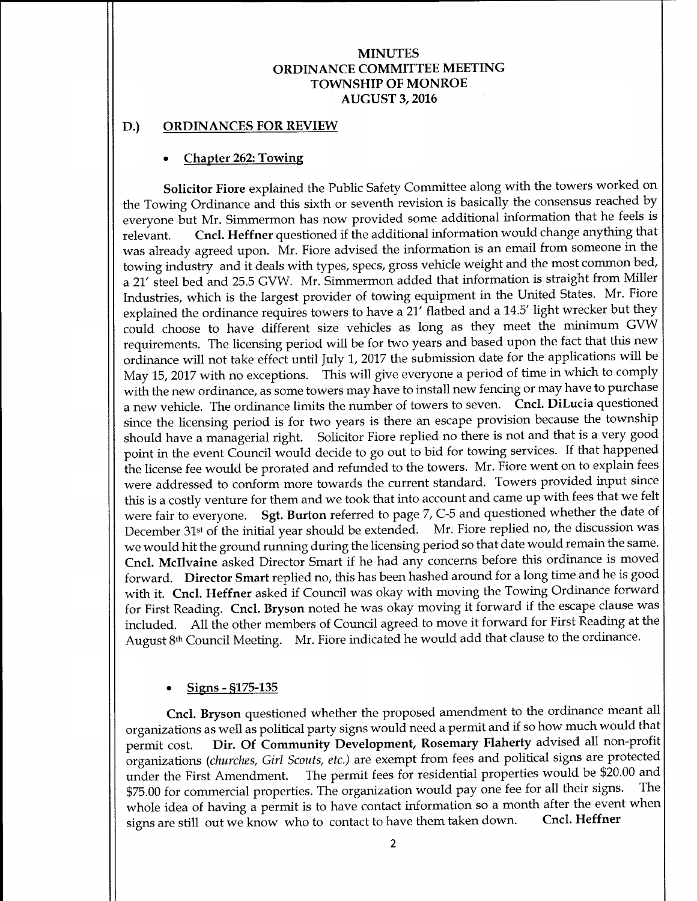#### D.) ORDINANCES FOR REVIEW

## Chapter 262: Towing

Solicitor Fiore explained the Public Safety Committee along with the towers worked on the Towing Ordinance and this sixth or seventh revision is basically the consensus reached by everyone but Mr. Simmermon has now provided some additional information that he feels is relevant. Cncl. Heffner questioned if the additional information would change anything that was already agreed upon. Mr. Fiore advised the information is an email from someone in the towing industry and it deals with types, specs, gross vehicle weight and the most common bed, a 21' steel bed and 25.5 GVW. Mr. Simmermon added that information is straight from Miller Industries, which is the largest provider of towing equipment in the United States. Mr. Fiore explained the ordinance requires towers to have a 21' flatbed and a 14.5' light wrecker but they could choose to have different size vehicles as long as they meet the minimum GVW requirements. The licensing period will be for two years and based upon the fact that this new ordinance will not take effect until July 1, 2017 the submission date for the applications will be May 15, <sup>2017</sup> with no exceptions. This will give everyone <sup>a</sup> period of time in which to comply with the new ordinance, as some towers may have to install new fencing or may have to purchase <sup>a</sup> new vehicle. The ordinance limits the number of towers to seven. Cncl. DiLucia questioned since the licensing period is for two years is there an escape provision because the township should have a managerial right. Solicitor Fiore replied no there is not and that is <sup>a</sup> very good point in the event Council would decide to go out to bid for towing services. If that happened the license fee would be prorated and refunded to the towers. Mr. Fiore went on to explain fees were addressed to conform more towards the current standard. Towers provided input since this is a costly venture for them and we took that into account and came up with fees that we felt were fair to everyone. Sgt. Burton referred to page 7, C-5 and questioned whether the date of December 31st of the initial year should be extended. Mr. Fiore replied no, the discussion was we would hit the ground running during the licensing period so that date would remain the same. Cncl. Mcllvaine asked Director Smart if he had any concerns before this ordinance is moved forward. Director Smart replied no, this has been hashed around for <sup>a</sup> long time and he is good with it. Cncl. Heffner asked if Council was okay with moving the Towing Ordinance forward for First Reading. Cncl. Bryson noted he was okay moving it forward if the escape clause was included. All the other members of Council agreed to move it forward for First Reading at the August 8th Council Meeting. Mr. Fiore indicated he would add that clause to the ordinance.

## Signs - § 175-135

Cncl. Bryson questioned whether the proposed amendment to the ordinance meant all organizations as well as political party signs would need <sup>a</sup> permit and if so how much would that permit cost. Dir. Of Community Development, Rosemary Flaherty advised all non-profit organizations (churches, Girl Scouts, etc.) are exempt from fees and political signs are protected under the First Amendment. The permit fees for residential properties would be \$20.00 and<br>\$75.00 for commercial properties. The organization would pay one fee for all their signs. The \$75.00 for commercial properties. The organization would pay one fee for all their signs. whole idea of having a permit is to have contact information so a month after the event when<br>signs are still out we know who to contact to have them taken down. Cncl. Heffner signs are still out we know who to contact to have them taken down.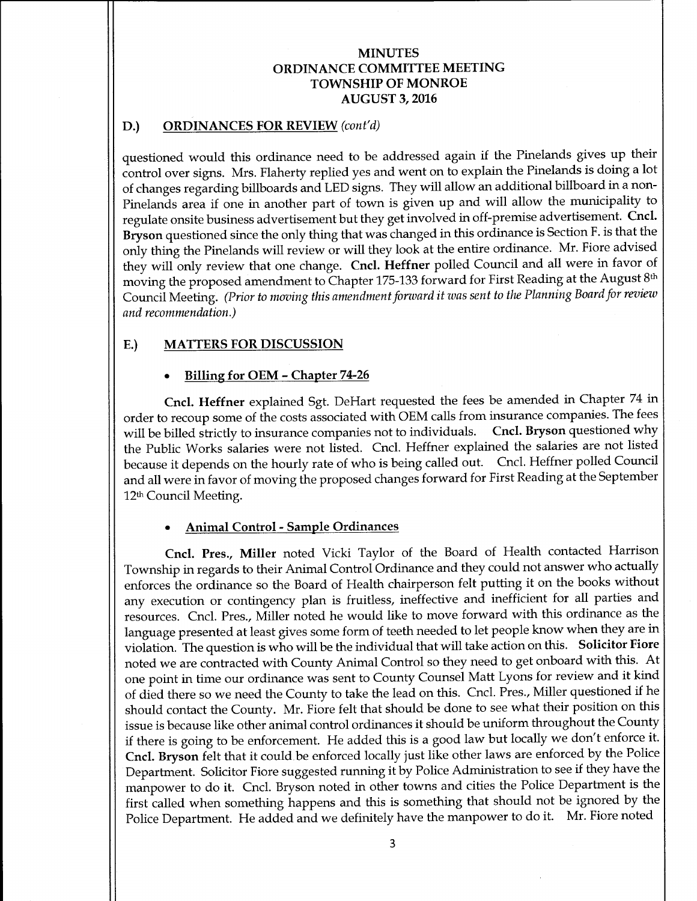# D.) ORDINANCES FOR REVIEW (cont'd)

questioned would this ordinance need to be addressed again if the Pinelands gives up their control over signs. Mrs. Flaherty replied yes and went on to explain the Pinelands is doing a lot of changes regarding billboards and LED signs. They will allow an additional billboard in <sup>a</sup> non-Pinelands area if one in another part of town is given up and will allow the municipality to regulate onsite business advertisement but they get involved in off-premise advertisement. Cncl. Bryson questioned since the only thing that was changed in this ordinance is Section F. is that the only thing the Pinelands will review or will they look at the entire ordinance. Mr. Fiore advised they will only review that one change. Cncl. Heffner polled Council and all were in favor of moving the proposed amendment to Chapter 175-133 forward for First Reading at the August 8th Council Meeting. (Prior to moving this amendment forward it was sent to the Planning Board for review and recommendation.)

# E.) MATTERS FOR DISCUSSION

# Billing for OEM - Chapter 74-26

Cncl. Heffner explained Sgt. DeHart requested the fees be amended in Chapter 74 in order to recoup some of the costs associated with OEM calls from insurance companies. The fees will be billed strictly to insurance companies not to individuals. Cncl. Bryson questioned why will be billed strictly to insurance companies not to individuals. the Public Works salaries were not listed. Cncl. Heffner explained the salaries are not listed because it depends on the hourly rate of who is being called out. Cncl. Heffner polled Council and all were in favor of moving the proposed changes forward for First Reading at the September 12th Council Meeting.

## Animal Control- Sample Ordinances

Cncl. Pres., Miller noted Vicki Taylor of the Board of Health contacted Harrison Township in regards to their Animal Control Ordinance and they could not answer who actually enforces the ordinance so the Board of Health chairperson felt putting it on the books without any execution or contingency plan is fruitless, ineffective and inefficient for all parties and resources. Cncl. Pres., Miller noted he would like to move forward with this ordinance as the language presented at least gives some form of teeth needed to let people know when they are in violation. The question is who will be the individual that will take action on this. Solicitor Fiore noted we are contracted with County Animal Control so they need to get onboard with this. At one point in time our ordinance was sent to County Counsel Matt Lyons for review and it kind of died there so we need the County to take the lead on this. Cncl. Pres., Miller questioned if he should contact the County. Mr. Fiore felt that should be done to see what their position on this issue is because like other animal control ordinances it should be uniform throughout the County if there is going to be enforcement. He added this is <sup>a</sup> good law but locally we don't enforce it. Cncl. Bryson felt that it could be enforced locally just like other laws are enforced by the Police Department. Solicitor Fiore suggested running it by Police Administration to see if they have the manpower to do it. Cncl. Bryson noted in other towns and cities the Police Department is the first called when something happens and this is something that should not be ignored by the Police Department. He added and we definitely have the manpower to do it. Mr. Fiore noted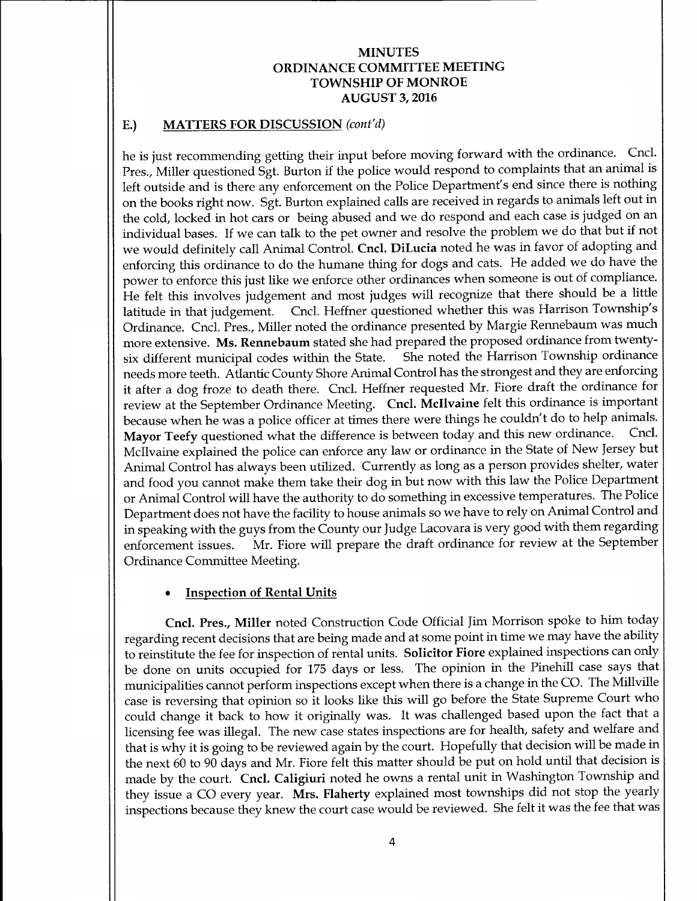# E.) MATTERS FOR DISCUSSION (cont'd)

he is just recommending getting their input before moving forward with the ordinance. Cncl. Pres., Miller questioned Sgt. Burton if the police would respond to complaints that an animal is left outside and is there any enforcement on the Police Department's end since there is nothing on the books right now. Sgt. Burton explained calls are received in regards to animals left out in the cold, locked in hot cars or being abused and we do respond and each case is judged on an individual bases. If we can talk to the pet owner and resolve the problem we do that but if not we would definitely call Animal Control. Cncl. DiLucia noted he was in favor of adopting and enforcing this ordinance to do the humane thing for dogs and cats. He added we do have the power to enforce this just like we enforce other ordinances when someone is out of compliance. He felt this involves judgement and most judges will recognize that there should be <sup>a</sup> little latitude in that judgement. Cncl. Heffner questioned whether this was Harrison Township's Ordinance. Cncl. Pres., Miller noted the ordinance presented by Margie Rennebaum was much more extensive. Ms. Rennebaum stated she had prepared the proposed ordinance from twenty-<br>six different municipal codes within the State. She noted the Harrison Township ordinance six different municipal codes within the State. needs more teeth. Atlantic County Shore Animal Control has the strongest and they are enforcing it after <sup>a</sup> dog froze to death there. Cncl. Heffner requested Mr. Fiore draft the ordinance for review at the September Ordinance Meeting. Cncl. Mcllvaine felt this ordinance is important because when he was <sup>a</sup> police officer at times there were things he couldn't do to help animals. Mayor Teefy questioned what the difference is between today and this new ordinance. Cncl. McIlvaine explained the police can enforce any law or ordinance in the State of New Jersey but Animal Control has always been utilized. Currently as long as a person provides shelter, water and food you cannot make them take their dog in but now with this law the Police Department or Animal Control will have the authority to do something in excessive temperatures. The Police Department does not have the facility to house animals so we have to rely on Animal Control and in speaking with the guys from the County our Judge Lacovara is very good with them regarding Mr. Fiore will prepare the draft ordinance for review at the September Ordinance Committee Meeting.

# Inspection of Rental Units

Cncl. Pres., Miller noted Construction Code Official Jim Morrison spoke to him today regarding recent decisions that are being made and at some point in time we may have the ability to reinstitute the fee for inspection of rental units. Solicitor Fiore explained inspections can only be done on units occupied for <sup>175</sup> days or less. The opinion in the Pinehill case says that municipalities cannot perform inspections except when there is a change in the CO. The Millville case is reversing that opinion so it looks like this will go before the State Supreme Court who could change it back to how it originally was. It was challenged based upon the fact that <sup>a</sup> licensing fee was illegal. The new case states inspections are for health, safety and welfare and that is why it is going to be reviewed again by the court. Hopefully that decision will be made in the next 60 to 90 days and Mr. Fiore felt this matter should be put on hold until that decision is made by the court. Cncl. Caligiuri noted he owns <sup>a</sup> rental unit in Washington Township and they issue <sup>a</sup> CO every year. Mrs. Flaherty explained most townships did not stop the yearly inspections because they knew the court case would be reviewed. She felt it was the fee that was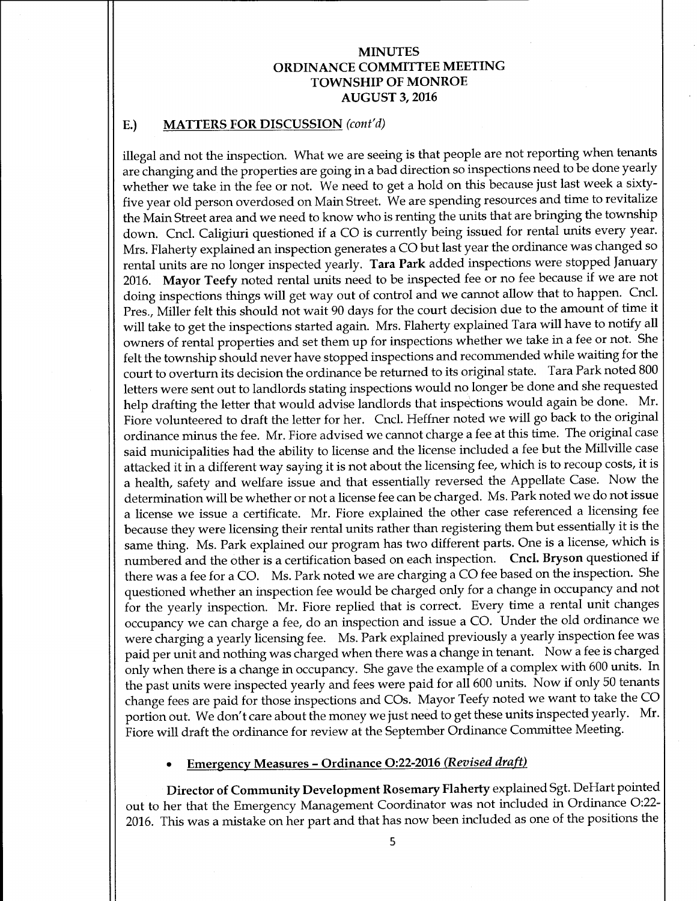#### E.) MATTERS FOR DISCUSSION (cont'd)

illegal and not the inspection. What we are seeing is that people are not reporting when tenants are changing and the properties are going in a bad direction so inspections need to be done yearly whether we take in the fee or not. We need to get <sup>a</sup> hold on this because just last week a sixtyfive year old person overdosed on Main Street. We are spending resources and time to revitalize the Main Street area and we need to know who is renting the units that are bringing the township down. Cncl. Caligiuri questioned if <sup>a</sup> CO is currently being issued for rental units every year. Mrs. Flaherty explained an inspection generates a CO but last year the ordinance was changed so rental units are no longer inspected yearly. Tara Park added inspections were stopped January 2016. Mayor Teefy noted rental units need to be inspected fee or no fee because if we are not doing inspections things will get way out of control and we cannot allow that to happen. Cncl. Pres., Miller felt this should not wait 90 days for the court decision due to the amount of time it will take to get the inspections started again. Mrs. Flaherty explained Tara will have to notify all owners of rental properties and set them up for inspections whether we take in <sup>a</sup> fee or not. She felt the township should never have stopped inspections and recommended while waiting for the court to overturn its decision the ordinance be returned to its original state. Tara Park noted 800 letters were sent out to landlords stating inspections would no longer be done and she requested help drafting the letter that would advise landlords that inspections would again be done. Mr. Fiore volunteered to draft the letter for her. Cncl. Heffner noted we will go back to the original ordinance minus the fee. Mr. Fiore advised we cannot charge a fee at this time. The original case said municipalities had the ability to license and the license included a fee but the Millville case attacked it in <sup>a</sup> different way saying it is not about the licensing fee, which is to recoup costs, it is <sup>a</sup> health, safety and welfare issue and that essentially reversed the Appellate Case. Now the determination will be whether or not <sup>a</sup> license fee can be charged. Ms. Park noted we do not issue a license we issue a certificate. Mr. Fiore explained the other case referenced a licensing fee because they were licensing their rental units rather than registering them but essentially it is the same thing. Ms. Park explained our program has two different parts. One is <sup>a</sup> license, which is numbered and the other is <sup>a</sup> certification based on each inspection. Cncl. Bryson questioned if there was <sup>a</sup> fee for <sup>a</sup> CO. Ms. Park noted we are charging <sup>a</sup> CO fee based on the inspection. She questioned whether an inspection fee would be charged only for a change in occupancy and not for the yearly inspection. Mr. Fiore replied that is correct. Every time <sup>a</sup> rental unit changes occupancy we can charge a fee, do an inspection and issue a CO. Under the old ordinance we were charging <sup>a</sup> yearly licensing fee. Ms. Park explained previously <sup>a</sup> yearly inspection fee was paid per unit and nothing was charged when there was <sup>a</sup> change in tenant. Now <sup>a</sup> fee is charged only when there is a change in occupancy. She gave the example of a complex with 600 units. In the past units were inspected yearly and fees were paid for all 600 units. Now if only 50 tenants change fees are paid for those inspections and COs. Mayor Teefy noted we want to take the CO portion out. We don't care about the money we just need to get these units inspected yearly. Mr. Fiore will draft the ordinance for review at the September Ordinance Committee Meeting.

#### Emergency Measures- Ordinance 0:22-2016 (Revised draft)

Director of Community Development Rosemary Flaherty explained Sgt. DeHart pointed out to her that the Emergency Management Coordinator was not included in Ordinance 0:22- 2016. This was a mistake on her part and that has now been included as one of the positions the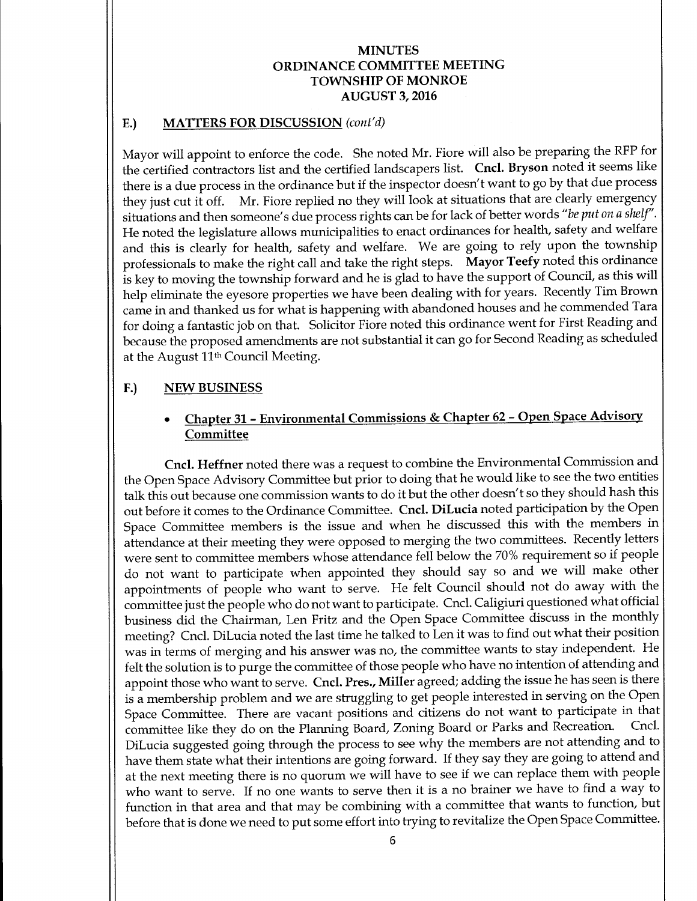## E.) MATTERS FOR DISCUSSION (cont'd)

Mayor will appoint to enforce the code. She noted Mr. Fiore will also be preparing the RFP for the certified contractors list and the certified landscapers list. Cncl. Bryson noted it seems like there is <sup>a</sup> due process in the ordinance but if the inspector doesn't want to go by that due process they just cut it off. Mr. Fiore replied no they will look at situations that are clearly emergency situations and then someone's due process rights can be for lack of better words "be put on a shelf". He noted the legislature allows municipalities to enact ordinances for health, safety and welfare and this is clearly for health, safety and welfare. We are going to rely upon the township professionals to make the right call and take the right steps. Mayor Teefy noted this ordinance is key to moving the township forward and he is glad to have the support of Council, as this will help eliminate the eyesore properties we have been dealing with for years. Recently Tim Brown came in and thanked us for what is happening with abandoned houses and he commended Tara for doing <sup>a</sup> fantastic job on that. Solicitor Fiore noted this ordinance went for First Reading and because the proposed amendments are not substantial it can go for Second Reading as scheduled at the August 11th Council Meeting.

# F.) NEW BUSINESS

# Chapter 31 - Environmental Commissions & Chapter 62- Open Space Advisory **Committee**

Cncl. Heffner noted there was <sup>a</sup> request to combine the Environmental Commission and the Open Space Advisory Committee but prior to doing that he would like to see the two entities talk this out because one commission wants to do it but the other doesn't so they should hash this out before it comes to the Ordinance Committee. Cncl. DiLucia noted participation by the Open Space Committee members is the issue and when he discussed this with the members in attendance at their meeting they were opposed to merging the two committees. Recently letters were sent to committee members whose attendance fell below the 70% requirement so if people do not want to participate when appointed they should say so and we will make other appointments of people who want to serve. He felt Council should not do away with the committee just the people who do not want to participate. Cncl. Caligiuri questioned what official business did the Chairman, Len Fritz and the Open Space Committee discuss in the monthly meeting? Cncl. DiLucia noted the last time he talked to Len it was to find out what their position was in terms of merging and his answer was no, the committee wants to stay independent. He felt the solution is to purge the committee of those people who have no intention of attending and appoint those who want to serve. Cncl. Pres., Miller agreed; adding the issue he has seen is there is a membership problem and we are struggling to get people interested in serving on the Open Space Committee. There are vacant positions and citizens do not want to participate in that committee like they do on the Planning Board, Zoning Board or Parks and Recreation. Cncl. DiLucia suggested going through the process to see why the members are not attending and to have them state what their intentions are going forward. If they say they are going to attend and at the next meeting there is no quorum we will have to see if we can replace them with people who want to serve. If no one wants to serve then it is <sup>a</sup> no brainer we have to find <sup>a</sup> way to function in that area and that may be combining with a committee that wants to function, but before that is done we need to put some effort into trying to revitalize the Open Space Committee.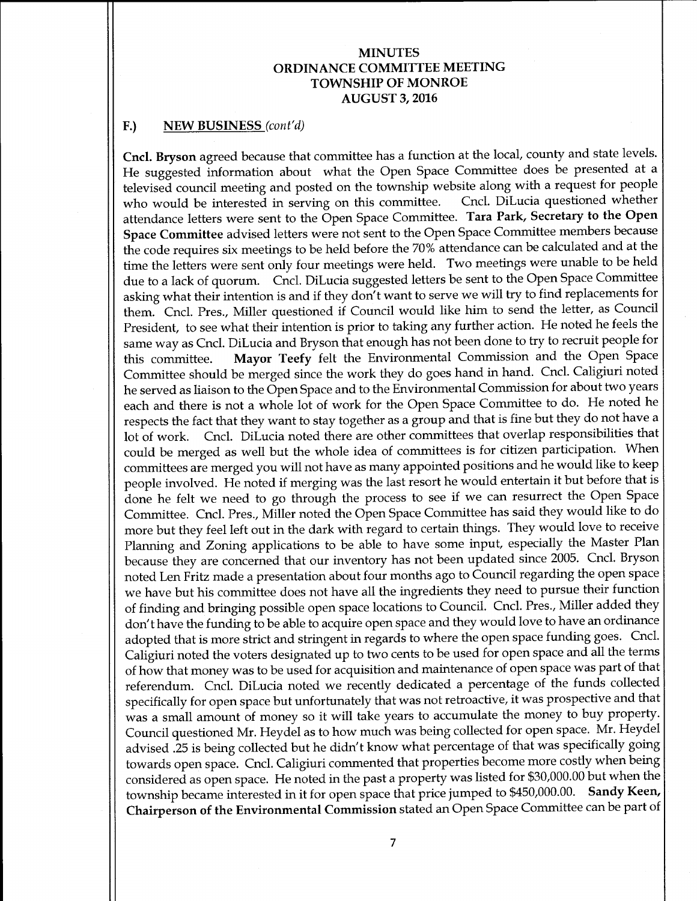#### F.) NEW BUSINESS (cont'd)

Cncl. Bryson agreed because that committee has a function at the local, county and state levels. He suggested information about what the Open Space Committee does be presented at a televised council meeting and posted on the township website along with a request for people<br>who would be interested in serving on this committee. Cncl. DiLucia questioned whether who would be interested in serving on this committee. attendance letters were sent to the Open Space Committee. Tara Park, Secretary to the Open Space Committee advised letters were not sent to the Open Space Committee members because the code requires six meetings to be held before the 70% attendance can be calculated and at the time the letters were sent only four meetings were held. Two meetings were unable to be held due to a lack of quorum. Cncl. DiLucia suggested letters be sent to the Open Space Committee asking what their intention is and if they don't want to serve we will try to find replacements for them. Cncl. Pres., Miller questioned if Council would like him to send the letter, as Council President, to see what their intention is prior to taking any further action. He noted he feels the same way as Cncl. DiLucia and Bryson that enough has not been done to try to recruit people for this committee. Mayor Teefy felt the Environmental Commission and the Open Space Committee should be merged since the work they do goes hand in hand. Cncl. Caligiuri noted he served as liaison to the Open Space and to the Environmental Commission for about two years each and there is not <sup>a</sup> whole lot of work for the Open Space Committee to do. He noted he respects the fact that they want to stay together as a group and that is fine but they do not have a lot of work. Cncl. DiLucia noted there are other committees that overlap responsibilities that could be merged as well but the whole idea of committees is for citizen participation. When committees are merged you will not have as many appointed positions and he would like to keep people involved. He noted if merging was the last resort he would entertain it but before that is done he felt we need to go through the process to see if we can resurrect the Open Space Committee. Cncl. Pres., Miller noted the Open Space Committee has said they would like to do more but they feel left out in the dark with regard to certain things. They would love to receive Planning and Zoning applications to be able to have some input, especially the Master Plan because they are concerned that our inventory has not been updated since 2005. Cncl. Bryson noted Len Fritz made a presentation about four months ago to Council regarding the open space we have but his committee does not have all the ingredients they need to pursue their function of finding and bringing possible open space locations to Council. Cncl. Pres., Miller added they don't have the funding to be able to acquire open space and they would love to have an ordinance adopted that is more strict and stringent in regards to where the open space funding goes. Cncl. Caligiuri noted the voters designated up to two cents to be used for open space and all the terms of how that money was to be used for acquisition and maintenance of open space was part of that referendum. Cncl. DiLucia noted we recently dedicated <sup>a</sup> percentage of the funds collected specifically for open space but unfortunately that was not retroactive, it was prospective and that was <sup>a</sup> small amount of money so it will take years to accumulate the money to buy property. Council questioned Mr. Heydel as to how much was being collected for open space. Mr. Heydel advised .25 is being collected but he didn't know what percentage of that was specifically going towards open space. Cncl. Caligiuri commented that properties become more costly when being considered as open space. He noted in the past a property was listed for \$30,000.00 but when the township became interested in it for open space that price jumped to \$450,000.00. Sandy Keen, Chairperson of the Environmental Commission stated an Open Space Committee can be part of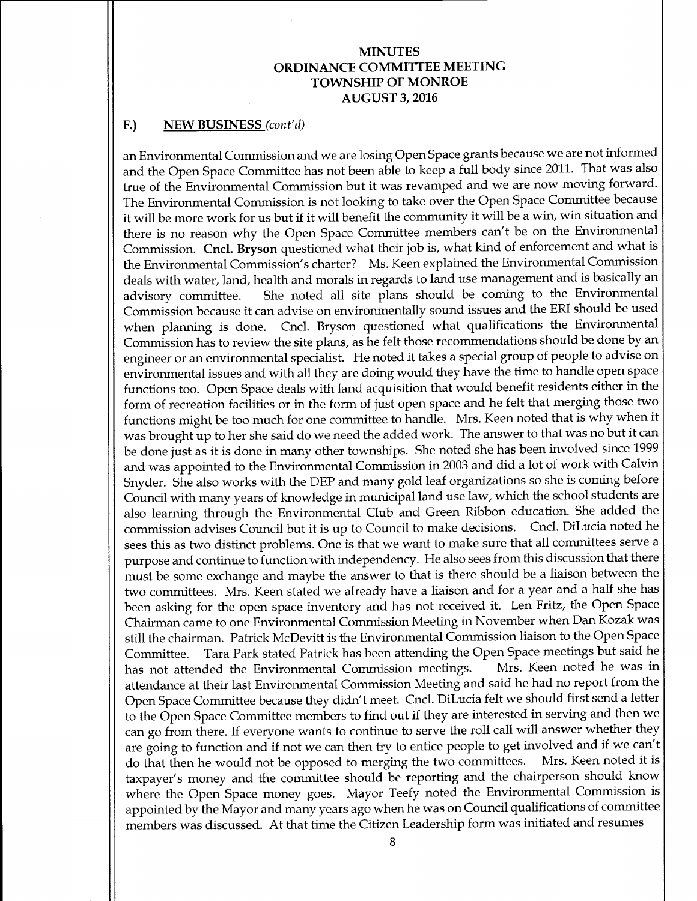## F.) NEW BUSINESS (cont'd)

an Environmental Commission and we are losing Open Space grants because we are not informed and the Open Space Committee has not been able to keep <sup>a</sup> full body since 2011. That was also true of the Environmental Commission but it was revamped and we are now moving forward. The Environmental Commission is not looking to take over the Open Space Committee because it will be more work for us but if it will benefit the community it will be <sup>a</sup> win, win situation and there is no reason why the Open Space Committee members can't be on the Environmental Commission. Cncl. Bryson questioned what their job is, what kind of enforcement and what is the Environmental Commission's charter? Ms. Keen explained the Environmental Commission deals with water, land, health and morals in regards to land use management and is basically an advisory committee. She noted all site plans should be coming to the Environmental Commission because it can advise on environmentally sound issues and the ERI should be used when planning is done. Cncl. Bryson questioned what qualifications the Environmental Commission has to review the site plans, as he felt those recommendations should be done by an engineer or an environmental specialist. He noted it takes <sup>a</sup> special group of people to advise on environmental issues and with all they are doing would they have the time to handle open space functions too. Open Space deals with land acquisition that would benefit residents either in the form of recreation facilities or in the form of just open space and he felt that merging those two functions might be too much for one committee to handle. Mrs. Keen noted that is why when it was brought up to her she said do we need the added work. The answer to that was no but it can be done just as it is done in many other townships. She noted she has been involved since 1999 and was appointed to the Environmental Commission in 2003 and did a lot of work with Calvin Snyder. She also works with the DEP and many gold leaf organizations so she is coming before Council with many years of knowledge in municipal land use law, which the school students are also learning through the Environmental Club and Green Ribbon education. She added the commission advises Council but it is up to Council to make decisions. Cncl. DiLucia noted he sees this as two distinct problems. One is that we want to make sure that all committees serve <sup>a</sup> purpose and continue to function with independency. He also sees from this discussion that there must be some exchange and maybe the answer to that is there should be a liaison between the two committees. Mrs. Keen stated we already have <sup>a</sup> liaison and for <sup>a</sup> year and <sup>a</sup> half she has been asking for the open space inventory and has not received it. Len Fritz, the Open Space Chairman came to one Environmental Commission Meeting in November when Dan Kozak was still the chairman. Patrick McDevitt is the Environmental Commission liaison to the Open Space Committee. Tara Park stated Patrick has been attending the Open Space meetings but said he has not attended the Environmental Commission meetings. attendance at their last Environmental Commission Meeting and said he had no report from the Open Space Committee because they didn't meet. Cncl. DiLucia felt we should first send a letter to the Open Space Committee members to find out if they are interested in serving and then we can go from there. If everyone wants to continue to serve the roll call will answer whether they are going to function and if not we can then try to entice people to get involved and if we can't<br>do that then he would not be opposed to merging the two committees. Mrs. Keen noted it is do that then he would not be opposed to merging the two committees. taxpayer's money and the committee should be reporting and the chairperson should know where the Open Space money goes. Mayor Teefy noted the Environmental Commission is appointed by the Mayor and many years ago when he was on Council qualifications of committee members was discussed. At that time the Citizen Leadership form was initiated and resumes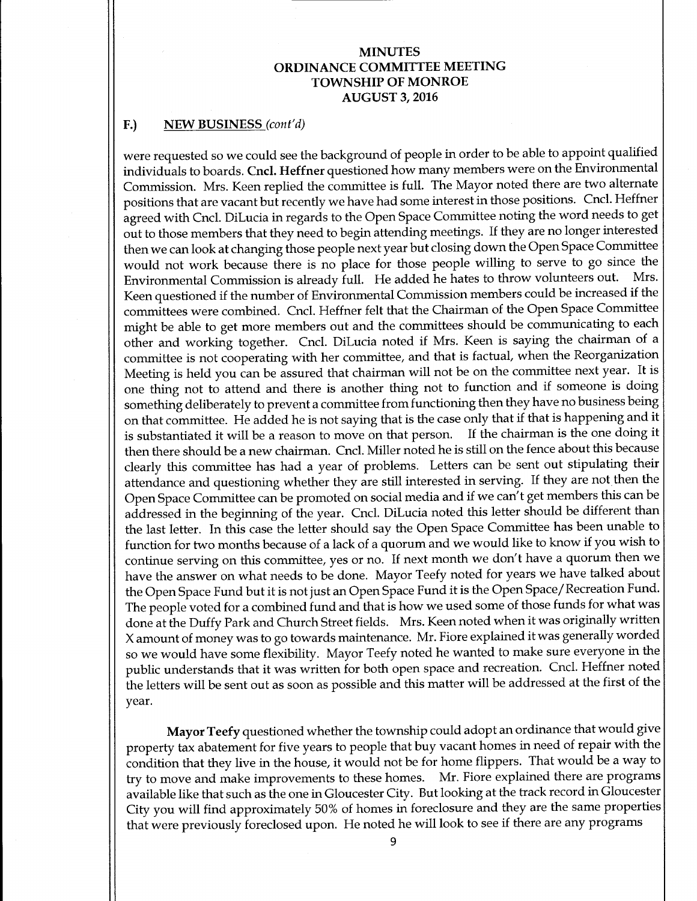## F.) NEW BUSINESS<sub>(cont'd)</sub>

were requested so we could see the background of people in order to be able to appoint qualified individuals to boards. Cncl. Heffner questioned how many members were on the Environmental Commission. Mrs. Keen replied the committee is full. The Mayor noted there are two alternate positions that are vacant but recently we have had some interest in those positions. Cncl. Heffner agreed with Cncl. DiLucia in regards to the Open Space Committee noting the word needs to get out to those members that they need to begin attending meetings. If they are no longer interested then we can look at changing those people next year but closing down the Open Space Committee would not work because there is no place for those people willing to serve to go since the<br>Environmental Commission is already full. He added he hates to throw volunteers out. Mrs. Environmental Commission is already full. He added he hates to throw volunteers out. Keen questioned if the number of Environmental Commission members could be increased if the committees were combined. Cncl. Heffner felt that the Chairman of the Open Space Committee might be able to get more members out and the committees should be communicating to each other and working together. Cncl. DiLucia noted if Mrs. Keen is saying the chairman of <sup>a</sup> committee is not cooperating with her committee, and that is factual, when the Reorganization Meeting is held you can be assured that chairman will not be on the committee next year. It is one thing not to attend and there is another thing not to function and if someone is doing something deliberately to prevent <sup>a</sup> committee from functioning then they have no business being on that committee. He added he is not saying that is the case only that if that is happening and it is substantiated it will be <sup>a</sup> reason to move on that person. If the chairman is the one doing it then there should be <sup>a</sup> new chairman. Cncl. Miller noted he is still on the fence about this because clearly this committee has had <sup>a</sup> year of problems. Letters can be sent out stipulating their attendance and questioning whether they are still interested in serving. If they are not then the Open Space Committee can be promoted on social media and if we can' t get members this can be addressed in the beginning of the year. Cncl. DiLucia noted this letter should be different than the last letter. In this case the letter should say the Open Space Committee has been unable to function for two months because of <sup>a</sup> lack of <sup>a</sup> quorum and we would like to know if you wish to continue serving on this committee, yes or no. If next month we don't have a quorum then we have the answer on what needs to be done. Mayor Teefy noted for years we have talked about the Open Space Fund but it is not just an Open Space Fund it is the Open Space/ Recreation Fund. The people voted for a combined fund and that is how we used some of those funds for what was done at the Duffy Park and Church Street fields. Mrs. Keen noted when it was originally written X amount of money was to go towards maintenance. Mr. Fiore explained it was generally worded so we would have some flexibility. Mayor Teefy noted he wanted to make sure everyone in the public understands that it was written for both open space and recreation. Cncl. Heffner noted the letters will be sent out as soon as possible and this matter will be addressed at the first of the year.

Mayor Teefy questioned whether the township could adopt an ordinance that would give property tax abatement for five years to people that buy vacant homes in need of repair with the condition that they live in the house, it would not be for home flippers. That would be a way to try to move and make improvements to these homes. Mr. Fiore explained there are programs available like that such as the one in Gloucester City. But looking at the track record in Gloucester City you will find approximately 50% of homes in foreclosure and they are the same properties that were previously foreclosed upon. He noted he will look to see if there are any programs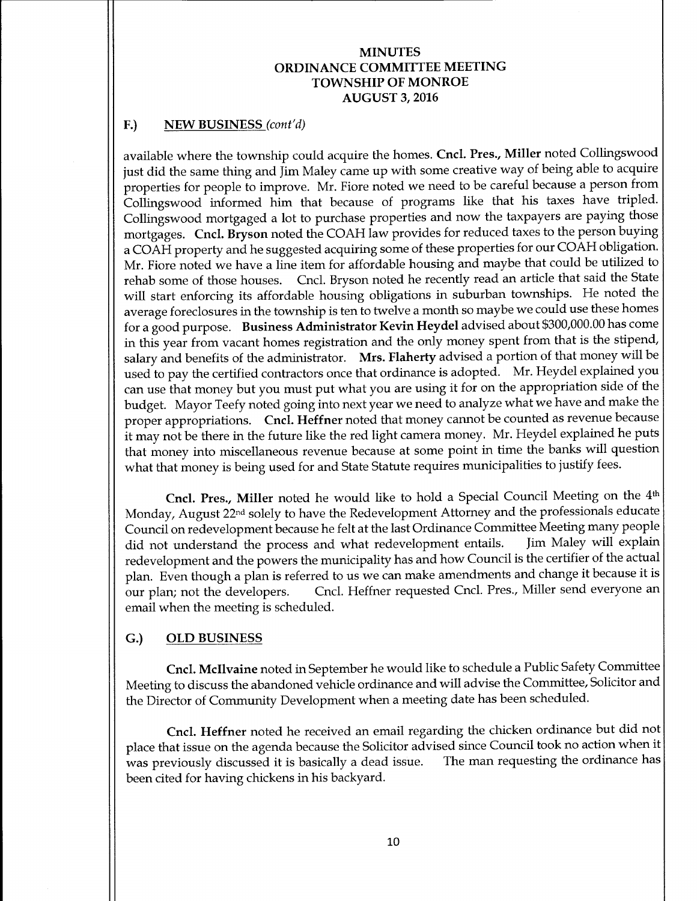## F.) NEW BUSINESS (cont'd)

available where the township could acquire the homes. Cncl. Pres., Miller noted Collingswood just did the same thing and Jim Maley came up with some creative way of being able to acquire properties for people to improve. Mr. Fiore noted we need to be careful because <sup>a</sup> person from Collingswood informed him that because of programs like that his taxes have tripled. Collingswood mortgaged a lot to purchase properties and now the taxpayers are paying those mortgages. Cncl. Bryson noted the COAH law provides for reduced taxes to the person buying a COAH property and he suggested acquiring some of these properties for our COAH obligation. Mr. Fiore noted we have a line item for affordable housing and maybe that could be utilized to rehab some of those houses. Cncl. Bryson noted he recently read an article that said the State will start enforcing its affordable housing obligations in suburban townships. He noted the average foreclosures in the township is ten to twelve a month so maybe we could use these homes for a good purpose. Business Administrator Kevin Heydel advised about \$300,000.00 has come in this year from vacant homes registration and the only money spent from that is the stipend, salary and benefits of the administrator. Mrs. Flaherty advised a portion of that money will be used to pay the certified contractors once that ordinance is adopted. Mr. Heydel explained you can use that money but you must put what you are using it for on the appropriation side of the budget. Mayor Teefy noted going into next year we need to analyze what we have and make the proper appropriations. Cncl. Heffner noted that money cannot be counted as revenue because it may not be there in the future like the red light camera money. Mr. Heydel explained he puts that money into miscellaneous revenue because at some point in time the banks will question what that money is being used for and State Statute requires municipalities to justify fees.

Cncl. Pres., Miller noted he would like to hold <sup>a</sup> Special Council Meeting on the 4th Monday, August 22nd solely to have the Redevelopment Attorney and the professionals educate Council on redevelopment because he felt at the last Ordinance Committee Meeting many people did not understand the process and what redevelopment entails. redevelopment and the powers the municipality has and how Council is the certifier of the actual plan. Even though <sup>a</sup> plan is referred to us we can make amendments and change it because it is our plan; not the developers. Cncl. Heffner requested Cncl. Pres., Miller send everyone an email when the meeting is scheduled.

## G.) OLD BUSINESS

Cncl. Mcllvaine noted in September he would like to schedule a Public Safety Committee Meeting to discuss the abandoned vehicle ordinance and will advise the Committee, Solicitor and the Director of Community Development when a meeting date has been scheduled.

Cncl. Heffner noted he received an email regarding the chicken ordinance but did not place that issue on the agenda because the Solicitor advised since Council took no action when it<br>was previously discussed it is basically a dead issue. The man requesting the ordinance has was previously discussed it is basically a dead issue. been cited for having chickens in his backyard.